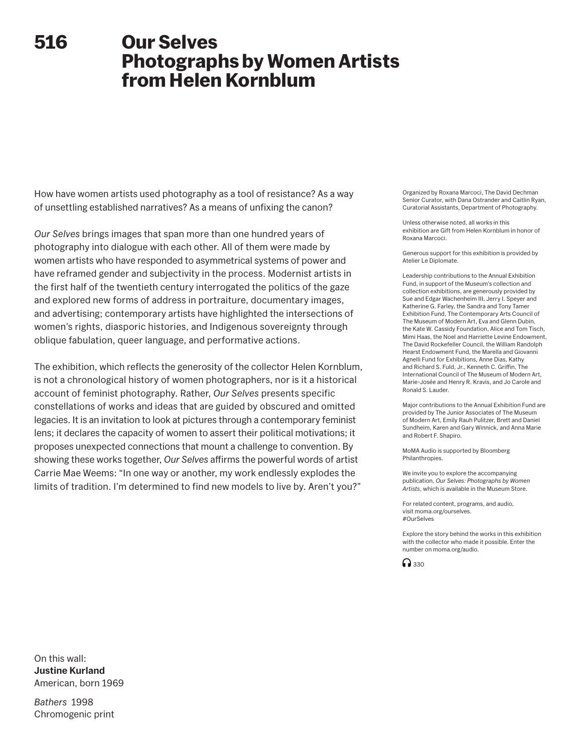# **516**

# **Our Selves Photographs by Women Artists from Helen Kornblum**

How have women artists used photography as a tool of resistance? As a way of unsettling established narratives? As a means of unfixing the canon?

*Our Selves* brings images that span more than one hundred years of photography into dialogue with each other. All of them were made by women artists who have responded to asymmetrical systems of power and have reframed gender and subjectivity in the process. Modernist artists in the first half of the twentieth century interrogated the politics of the gaze and explored new forms of address in portraiture, documentary images, and advertising; contemporary artists have highlighted the intersections of women's rights, diasporic histories, and Indigenous sovereignty through oblique fabulation, queer language, and performative actions.

The exhibition, which reflects the generosity of the collector Helen Kornblum, is not a chronological history of women photographers, nor is it a historical account of feminist photography. Rather, *Our Selves* presents specific constellations of works and ideas that are guided by obscured and omitted legacies. It is an invitation to look at pictures through a contemporary feminist lens; it declares the capacity of women to assert their political motivations; it proposes unexpected connections that mount a challenge to convention. By showing these works together, *Our Selves* affirms the powerful words of artist Carrie Mae Weems: "In one way or another, my work endlessly explodes the limits of tradition. I'm determined to find new models to live by. Aren't you?"

Organized by Roxana Marcoci, The David Dechman Senior Curator, with Dana Ostrander and Caitlin Ryan, Curatorial Assistants, Department of Photography.

Unless otherwise noted, all works in this exhibition are Gift from Helen Kornblum in honor of Roxana Marcoci.

Generous support for this exhibition is provided by Atelier Le Diplomate.

Leadership contributions to the Annual Exhibition Fund, in support of the Museum's collection and collection exhibitions, are generously provided by Sue and Edgar Wachenheim III, Jerry I. Speyer and Katherine G. Farley, the Sandra and Tony Tamer Exhibition Fund, The Contemporary Arts Council of The Museum of Modern Art, Eva and Glenn Dubin, the Kate W. Cassidy Foundation, Alice and Tom Tisch, Mimi Haas, the Noel and Harriette Levine Endowment, The David Rockefeller Council, the William Randolph Hearst Endowment Fund, the Marella and Giovanni Agnelli Fund for Exhibitions, Anne Dias, Kathy and Richard S. Fuld, Jr., Kenneth C. Griffin, The International Council of The Museum of Modern Art, Marie-Josée and Henry R. Kravis, and Jo Carole and Ronald S. Lauder.

Major contributions to the Annual Exhibition Fund are provided by The Junior Associates of The Museum of Modern Art, Emily Rauh Pulitzer, Brett and Daniel Sundheim, Karen and Gary Winnick, and Anna Marie and Robert F. Shapiro.

MoMA Audio is supported by Bloomberg Philanthropies.

We invite you to explore the accompanying publication, *Our Selves: Photographs by Women Artists*, which is available in the Museum Store.

For related content, programs, and audio, visit moma.org/ourselves. #OurSelves

Explore the story behind the works in this exhibition with the collector who made it possible. Enter the number on moma.org/audio.



On this wall: **Justine Kurland** American, born 1969

*Bathers* 1998 Chromogenic print